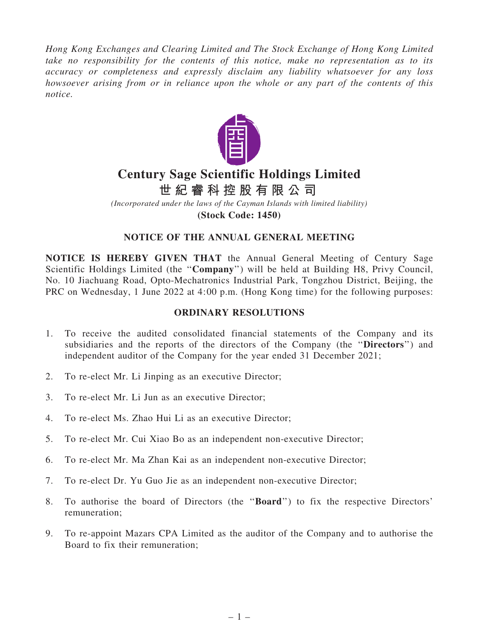*Hong Kong Exchanges and Clearing Limited and The Stock Exchange of Hong Kong Limited take no responsibility for the contents of this notice, make no representation as to its accuracy or completeness and expressly disclaim any liability whatsoever for any loss howsoever arising from or in reliance upon the whole or any part of the contents of this notice.*



# **Century Sage Scientific Holdings Limited**

**世 紀 睿 科 控 股 有 限 公 司**

*(Incorporated under the laws of the Cayman Islands with limited liability)* **(Stock Code: 1450)**

## NOTICE OF THE ANNUAL GENERAL MEETING

NOTICE IS HEREBY GIVEN THAT the Annual General Meeting of Century Sage Scientific Holdings Limited (the "Company") will be held at Building H8, Privy Council, No. 10 Jiachuang Road, Opto-Mechatronics Industrial Park, Tongzhou District, Beijing, the PRC on Wednesday, 1 June 2022 at 4:00 p.m. (Hong Kong time) for the following purposes:

## ORDINARY RESOLUTIONS

- 1. To receive the audited consolidated financial statements of the Company and its subsidiaries and the reports of the directors of the Company (the ''Directors'') and independent auditor of the Company for the year ended 31 December 2021;
- 2. To re-elect Mr. Li Jinping as an executive Director;
- 3. To re-elect Mr. Li Jun as an executive Director;
- 4. To re-elect Ms. Zhao Hui Li as an executive Director;
- 5. To re-elect Mr. Cui Xiao Bo as an independent non-executive Director;
- 6. To re-elect Mr. Ma Zhan Kai as an independent non-executive Director;
- 7. To re-elect Dr. Yu Guo Jie as an independent non-executive Director;
- 8. To authorise the board of Directors (the ''Board'') to fix the respective Directors' remuneration;
- 9. To re-appoint Mazars CPA Limited as the auditor of the Company and to authorise the Board to fix their remuneration;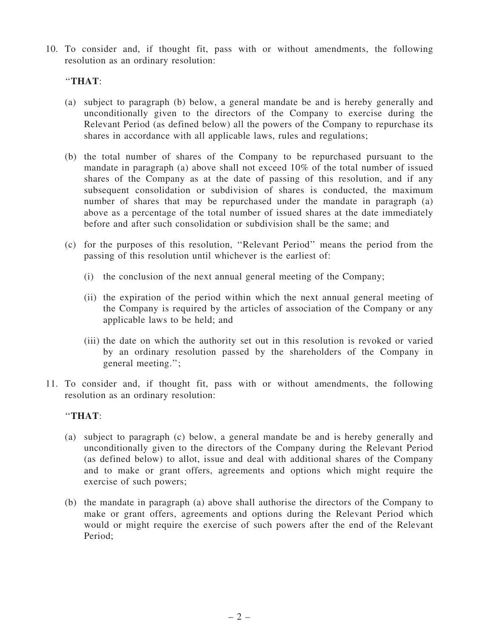10. To consider and, if thought fit, pass with or without amendments, the following resolution as an ordinary resolution:

## ''THAT:

- (a) subject to paragraph (b) below, a general mandate be and is hereby generally and unconditionally given to the directors of the Company to exercise during the Relevant Period (as defined below) all the powers of the Company to repurchase its shares in accordance with all applicable laws, rules and regulations;
- (b) the total number of shares of the Company to be repurchased pursuant to the mandate in paragraph (a) above shall not exceed 10% of the total number of issued shares of the Company as at the date of passing of this resolution, and if any subsequent consolidation or subdivision of shares is conducted, the maximum number of shares that may be repurchased under the mandate in paragraph (a) above as a percentage of the total number of issued shares at the date immediately before and after such consolidation or subdivision shall be the same; and
- (c) for the purposes of this resolution, ''Relevant Period'' means the period from the passing of this resolution until whichever is the earliest of:
	- (i) the conclusion of the next annual general meeting of the Company;
	- (ii) the expiration of the period within which the next annual general meeting of the Company is required by the articles of association of the Company or any applicable laws to be held; and
	- (iii) the date on which the authority set out in this resolution is revoked or varied by an ordinary resolution passed by the shareholders of the Company in general meeting.'';
- 11. To consider and, if thought fit, pass with or without amendments, the following resolution as an ordinary resolution:

#### ''THAT:

- (a) subject to paragraph (c) below, a general mandate be and is hereby generally and unconditionally given to the directors of the Company during the Relevant Period (as defined below) to allot, issue and deal with additional shares of the Company and to make or grant offers, agreements and options which might require the exercise of such powers;
- (b) the mandate in paragraph (a) above shall authorise the directors of the Company to make or grant offers, agreements and options during the Relevant Period which would or might require the exercise of such powers after the end of the Relevant Period;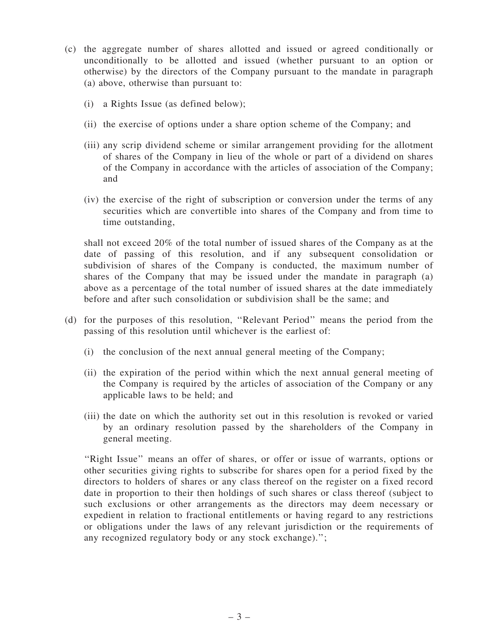- (c) the aggregate number of shares allotted and issued or agreed conditionally or unconditionally to be allotted and issued (whether pursuant to an option or otherwise) by the directors of the Company pursuant to the mandate in paragraph (a) above, otherwise than pursuant to:
	- (i) a Rights Issue (as defined below);
	- (ii) the exercise of options under a share option scheme of the Company; and
	- (iii) any scrip dividend scheme or similar arrangement providing for the allotment of shares of the Company in lieu of the whole or part of a dividend on shares of the Company in accordance with the articles of association of the Company; and
	- (iv) the exercise of the right of subscription or conversion under the terms of any securities which are convertible into shares of the Company and from time to time outstanding,

shall not exceed 20% of the total number of issued shares of the Company as at the date of passing of this resolution, and if any subsequent consolidation or subdivision of shares of the Company is conducted, the maximum number of shares of the Company that may be issued under the mandate in paragraph (a) above as a percentage of the total number of issued shares at the date immediately before and after such consolidation or subdivision shall be the same; and

- (d) for the purposes of this resolution, ''Relevant Period'' means the period from the passing of this resolution until whichever is the earliest of:
	- (i) the conclusion of the next annual general meeting of the Company;
	- (ii) the expiration of the period within which the next annual general meeting of the Company is required by the articles of association of the Company or any applicable laws to be held; and
	- (iii) the date on which the authority set out in this resolution is revoked or varied by an ordinary resolution passed by the shareholders of the Company in general meeting.

"Right Issue" means an offer of shares, or offer or issue of warrants, options or other securities giving rights to subscribe for shares open for a period fixed by the directors to holders of shares or any class thereof on the register on a fixed record date in proportion to their then holdings of such shares or class thereof (subject to such exclusions or other arrangements as the directors may deem necessary or expedient in relation to fractional entitlements or having regard to any restrictions or obligations under the laws of any relevant jurisdiction or the requirements of any recognized regulatory body or any stock exchange).'';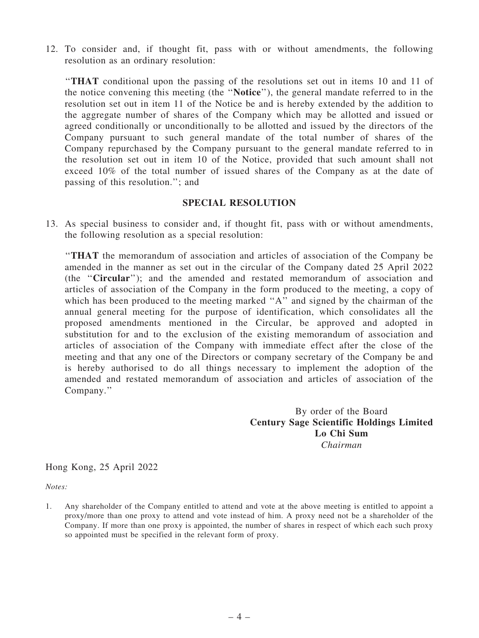12. To consider and, if thought fit, pass with or without amendments, the following resolution as an ordinary resolution:

''THAT conditional upon the passing of the resolutions set out in items 10 and 11 of the notice convening this meeting (the ''Notice''), the general mandate referred to in the resolution set out in item 11 of the Notice be and is hereby extended by the addition to the aggregate number of shares of the Company which may be allotted and issued or agreed conditionally or unconditionally to be allotted and issued by the directors of the Company pursuant to such general mandate of the total number of shares of the Company repurchased by the Company pursuant to the general mandate referred to in the resolution set out in item 10 of the Notice, provided that such amount shall not exceed 10% of the total number of issued shares of the Company as at the date of passing of this resolution.''; and

#### SPECIAL RESOLUTION

13. As special business to consider and, if thought fit, pass with or without amendments, the following resolution as a special resolution:

''THAT the memorandum of association and articles of association of the Company be amended in the manner as set out in the circular of the Company dated 25 April 2022 (the ''Circular''); and the amended and restated memorandum of association and articles of association of the Company in the form produced to the meeting, a copy of which has been produced to the meeting marked "A" and signed by the chairman of the annual general meeting for the purpose of identification, which consolidates all the proposed amendments mentioned in the Circular, be approved and adopted in substitution for and to the exclusion of the existing memorandum of association and articles of association of the Company with immediate effect after the close of the meeting and that any one of the Directors or company secretary of the Company be and is hereby authorised to do all things necessary to implement the adoption of the amended and restated memorandum of association and articles of association of the Company.''

> By order of the Board Century Sage Scientific Holdings Limited Lo Chi Sum *Chairman*

Hong Kong, 25 April 2022

*Notes:*

1. Any shareholder of the Company entitled to attend and vote at the above meeting is entitled to appoint a proxy/more than one proxy to attend and vote instead of him. A proxy need not be a shareholder of the Company. If more than one proxy is appointed, the number of shares in respect of which each such proxy so appointed must be specified in the relevant form of proxy.